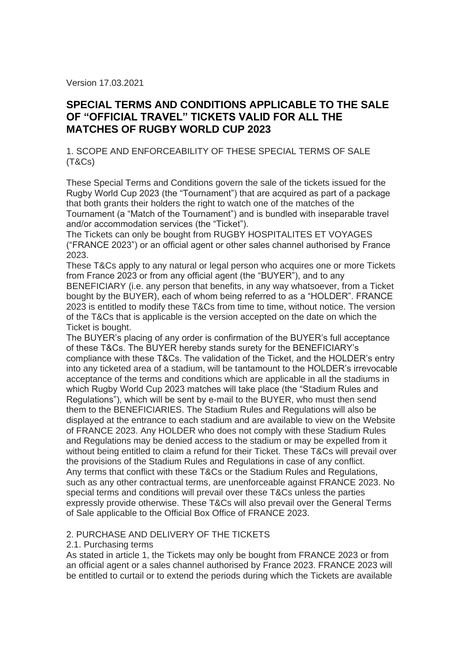Version 17.03.2021

# **SPECIAL TERMS AND CONDITIONS APPLICABLE TO THE SALE OF "OFFICIAL TRAVEL" TICKETS VALID FOR ALL THE MATCHES OF RUGBY WORLD CUP 2023**

1. SCOPE AND ENFORCEABILITY OF THESE SPECIAL TERMS OF SALE (T&Cs)

These Special Terms and Conditions govern the sale of the tickets issued for the Rugby World Cup 2023 (the "Tournament") that are acquired as part of a package that both grants their holders the right to watch one of the matches of the Tournament (a "Match of the Tournament") and is bundled with inseparable travel and/or accommodation services (the "Ticket").

The Tickets can only be bought from RUGBY HOSPITALITES ET VOYAGES ("FRANCE 2023") or an official agent or other sales channel authorised by France 2023.

These T&Cs apply to any natural or legal person who acquires one or more Tickets from France 2023 or from any official agent (the "BUYER"), and to any

BENEFICIARY (i.e. any person that benefits, in any way whatsoever, from a Ticket bought by the BUYER), each of whom being referred to as a "HOLDER". FRANCE 2023 is entitled to modify these T&Cs from time to time, without notice. The version of the T&Cs that is applicable is the version accepted on the date on which the Ticket is bought.

The BUYER's placing of any order is confirmation of the BUYER's full acceptance of these T&Cs. The BUYER hereby stands surety for the BENEFICIARY's compliance with these T&Cs. The validation of the Ticket, and the HOLDER's entry into any ticketed area of a stadium, will be tantamount to the HOLDER's irrevocable acceptance of the terms and conditions which are applicable in all the stadiums in which Rugby World Cup 2023 matches will take place (the "Stadium Rules and Regulations"), which will be sent by e-mail to the BUYER, who must then send them to the BENEFICIARIES. The Stadium Rules and Regulations will also be displayed at the entrance to each stadium and are available to view on the Website of FRANCE 2023. Any HOLDER who does not comply with these Stadium Rules and Regulations may be denied access to the stadium or may be expelled from it without being entitled to claim a refund for their Ticket. These T&Cs will prevail over the provisions of the Stadium Rules and Regulations in case of any conflict. Any terms that conflict with these T&Cs or the Stadium Rules and Regulations, such as any other contractual terms, are unenforceable against FRANCE 2023. No special terms and conditions will prevail over these T&Cs unless the parties expressly provide otherwise. These T&Cs will also prevail over the General Terms of Sale applicable to the Official Box Office of FRANCE 2023.

# 2. PURCHASE AND DELIVERY OF THE TICKETS

2.1. Purchasing terms

As stated in article 1, the Tickets may only be bought from FRANCE 2023 or from an official agent or a sales channel authorised by France 2023. FRANCE 2023 will be entitled to curtail or to extend the periods during which the Tickets are available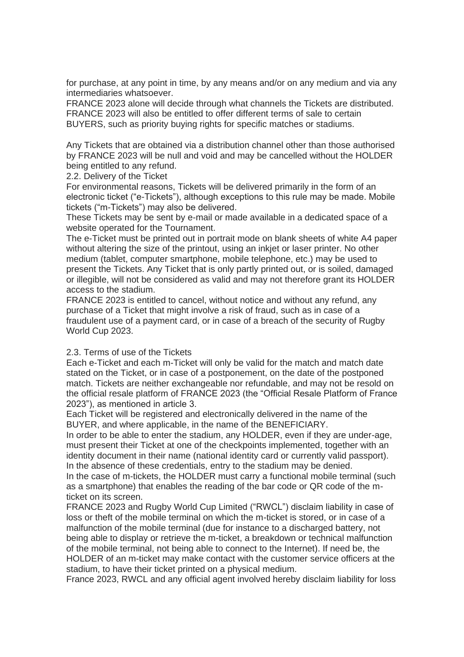for purchase, at any point in time, by any means and/or on any medium and via any intermediaries whatsoever.

FRANCE 2023 alone will decide through what channels the Tickets are distributed. FRANCE 2023 will also be entitled to offer different terms of sale to certain BUYERS, such as priority buying rights for specific matches or stadiums.

Any Tickets that are obtained via a distribution channel other than those authorised by FRANCE 2023 will be null and void and may be cancelled without the HOLDER being entitled to any refund.

2.2. Delivery of the Ticket

For environmental reasons, Tickets will be delivered primarily in the form of an electronic ticket ("e-Tickets"), although exceptions to this rule may be made. Mobile tickets ("m-Tickets") may also be delivered.

These Tickets may be sent by e-mail or made available in a dedicated space of a website operated for the Tournament.

The e-Ticket must be printed out in portrait mode on blank sheets of white A4 paper without altering the size of the printout, using an inkjet or laser printer. No other medium (tablet, computer smartphone, mobile telephone, etc.) may be used to present the Tickets. Any Ticket that is only partly printed out, or is soiled, damaged or illegible, will not be considered as valid and may not therefore grant its HOLDER access to the stadium.

FRANCE 2023 is entitled to cancel, without notice and without any refund, any purchase of a Ticket that might involve a risk of fraud, such as in case of a fraudulent use of a payment card, or in case of a breach of the security of Rugby World Cup 2023.

#### 2.3. Terms of use of the Tickets

Each e-Ticket and each m-Ticket will only be valid for the match and match date stated on the Ticket, or in case of a postponement, on the date of the postponed match. Tickets are neither exchangeable nor refundable, and may not be resold on the official resale platform of FRANCE 2023 (the "Official Resale Platform of France 2023"), as mentioned in article 3.

Each Ticket will be registered and electronically delivered in the name of the BUYER, and where applicable, in the name of the BENEFICIARY.

In order to be able to enter the stadium, any HOLDER, even if they are under-age, must present their Ticket at one of the checkpoints implemented, together with an identity document in their name (national identity card or currently valid passport). In the absence of these credentials, entry to the stadium may be denied.

In the case of m-tickets, the HOLDER must carry a functional mobile terminal (such as a smartphone) that enables the reading of the bar code or QR code of the mticket on its screen.

FRANCE 2023 and Rugby World Cup Limited ("RWCL") disclaim liability in case of loss or theft of the mobile terminal on which the m-ticket is stored, or in case of a malfunction of the mobile terminal (due for instance to a discharged battery, not being able to display or retrieve the m-ticket, a breakdown or technical malfunction of the mobile terminal, not being able to connect to the Internet). If need be, the HOLDER of an m-ticket may make contact with the customer service officers at the stadium, to have their ticket printed on a physical medium.

France 2023, RWCL and any official agent involved hereby disclaim liability for loss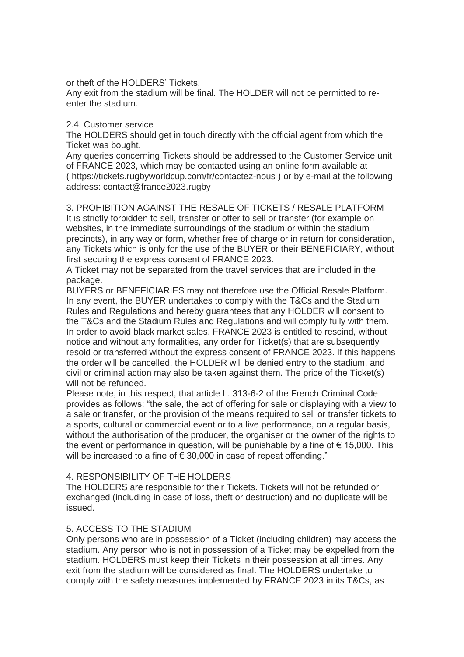or theft of the HOLDERS' Tickets.

Any exit from the stadium will be final. The HOLDER will not be permitted to reenter the stadium.

#### 2.4. Customer service

The HOLDERS should get in touch directly with the official agent from which the Ticket was bought.

Any queries concerning Tickets should be addressed to the Customer Service unit of FRANCE 2023, which may be contacted using an online form available at ( https://tickets.rugbyworldcup.com/fr/contactez-nous ) or by e-mail at the following address: contact@france2023.rugby

3. PROHIBITION AGAINST THE RESALE OF TICKETS / RESALE PLATFORM It is strictly forbidden to sell, transfer or offer to sell or transfer (for example on websites, in the immediate surroundings of the stadium or within the stadium precincts), in any way or form, whether free of charge or in return for consideration, any Tickets which is only for the use of the BUYER or their BENEFICIARY, without first securing the express consent of FRANCE 2023.

A Ticket may not be separated from the travel services that are included in the package.

BUYERS or BENEFICIARIES may not therefore use the Official Resale Platform. In any event, the BUYER undertakes to comply with the T&Cs and the Stadium Rules and Regulations and hereby guarantees that any HOLDER will consent to the T&Cs and the Stadium Rules and Regulations and will comply fully with them. In order to avoid black market sales, FRANCE 2023 is entitled to rescind, without notice and without any formalities, any order for Ticket(s) that are subsequently resold or transferred without the express consent of FRANCE 2023. If this happens the order will be cancelled, the HOLDER will be denied entry to the stadium, and civil or criminal action may also be taken against them. The price of the Ticket(s) will not be refunded.

Please note, in this respect, that article L. 313-6-2 of the French Criminal Code provides as follows: "the sale, the act of offering for sale or displaying with a view to a sale or transfer, or the provision of the means required to sell or transfer tickets to a sports, cultural or commercial event or to a live performance, on a regular basis, without the authorisation of the producer, the organiser or the owner of the rights to the event or performance in question, will be punishable by a fine of  $\epsilon$  15,000. This will be increased to a fine of € 30,000 in case of repeat offending."

# 4. RESPONSIBILITY OF THE HOLDERS

The HOLDERS are responsible for their Tickets. Tickets will not be refunded or exchanged (including in case of loss, theft or destruction) and no duplicate will be issued.

# 5. ACCESS TO THE STADIUM

Only persons who are in possession of a Ticket (including children) may access the stadium. Any person who is not in possession of a Ticket may be expelled from the stadium. HOLDERS must keep their Tickets in their possession at all times. Any exit from the stadium will be considered as final. The HOLDERS undertake to comply with the safety measures implemented by FRANCE 2023 in its T&Cs, as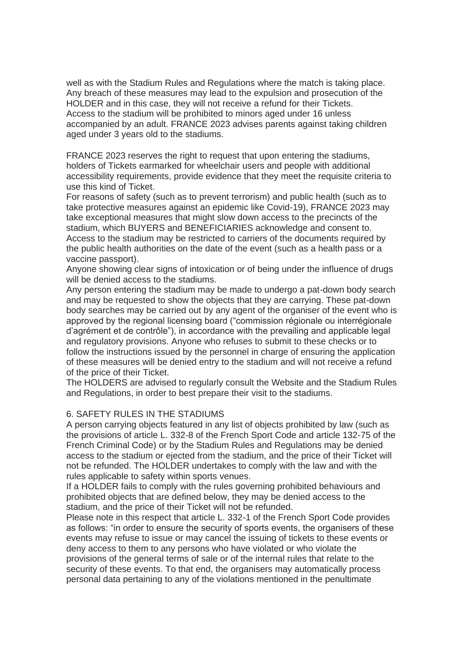well as with the Stadium Rules and Regulations where the match is taking place. Any breach of these measures may lead to the expulsion and prosecution of the HOLDER and in this case, they will not receive a refund for their Tickets. Access to the stadium will be prohibited to minors aged under 16 unless accompanied by an adult. FRANCE 2023 advises parents against taking children aged under 3 years old to the stadiums.

FRANCE 2023 reserves the right to request that upon entering the stadiums, holders of Tickets earmarked for wheelchair users and people with additional accessibility requirements, provide evidence that they meet the requisite criteria to use this kind of Ticket.

For reasons of safety (such as to prevent terrorism) and public health (such as to take protective measures against an epidemic like Covid-19), FRANCE 2023 may take exceptional measures that might slow down access to the precincts of the stadium, which BUYERS and BENEFICIARIES acknowledge and consent to. Access to the stadium may be restricted to carriers of the documents required by the public health authorities on the date of the event (such as a health pass or a vaccine passport).

Anyone showing clear signs of intoxication or of being under the influence of drugs will be denied access to the stadiums.

Any person entering the stadium may be made to undergo a pat-down body search and may be requested to show the objects that they are carrying. These pat-down body searches may be carried out by any agent of the organiser of the event who is approved by the regional licensing board ("commission régionale ou interrégionale d'agrément et de contrôle"), in accordance with the prevailing and applicable legal and regulatory provisions. Anyone who refuses to submit to these checks or to follow the instructions issued by the personnel in charge of ensuring the application of these measures will be denied entry to the stadium and will not receive a refund of the price of their Ticket.

The HOLDERS are advised to regularly consult the Website and the Stadium Rules and Regulations, in order to best prepare their visit to the stadiums.

# 6. SAFETY RULES IN THE STADIUMS

A person carrying objects featured in any list of objects prohibited by law (such as the provisions of article L. 332-8 of the French Sport Code and article 132-75 of the French Criminal Code) or by the Stadium Rules and Regulations may be denied access to the stadium or ejected from the stadium, and the price of their Ticket will not be refunded. The HOLDER undertakes to comply with the law and with the rules applicable to safety within sports venues.

If a HOLDER fails to comply with the rules governing prohibited behaviours and prohibited objects that are defined below, they may be denied access to the stadium, and the price of their Ticket will not be refunded.

Please note in this respect that article L. 332-1 of the French Sport Code provides as follows: "in order to ensure the security of sports events, the organisers of these events may refuse to issue or may cancel the issuing of tickets to these events or deny access to them to any persons who have violated or who violate the provisions of the general terms of sale or of the internal rules that relate to the security of these events. To that end, the organisers may automatically process personal data pertaining to any of the violations mentioned in the penultimate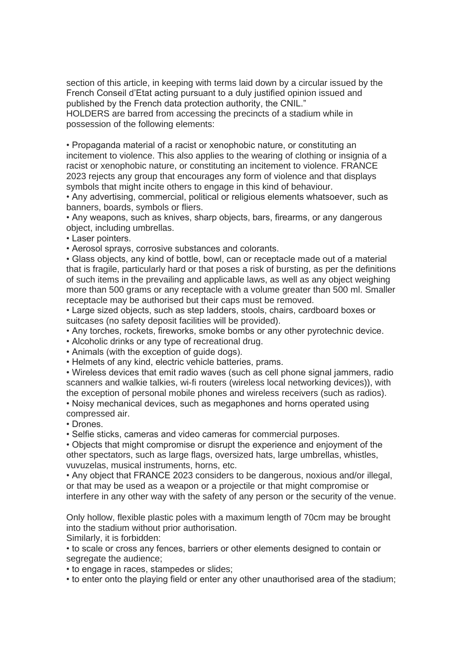section of this article, in keeping with terms laid down by a circular issued by the French Conseil d'Etat acting pursuant to a duly justified opinion issued and published by the French data protection authority, the CNIL."

HOLDERS are barred from accessing the precincts of a stadium while in possession of the following elements:

• Propaganda material of a racist or xenophobic nature, or constituting an incitement to violence. This also applies to the wearing of clothing or insignia of a racist or xenophobic nature, or constituting an incitement to violence. FRANCE 2023 rejects any group that encourages any form of violence and that displays symbols that might incite others to engage in this kind of behaviour.

• Any advertising, commercial, political or religious elements whatsoever, such as banners, boards, symbols or fliers.

• Any weapons, such as knives, sharp objects, bars, firearms, or any dangerous object, including umbrellas.

• Laser pointers.

• Aerosol sprays, corrosive substances and colorants.

• Glass objects, any kind of bottle, bowl, can or receptacle made out of a material that is fragile, particularly hard or that poses a risk of bursting, as per the definitions of such items in the prevailing and applicable laws, as well as any object weighing more than 500 grams or any receptacle with a volume greater than 500 ml. Smaller receptacle may be authorised but their caps must be removed.

• Large sized objects, such as step ladders, stools, chairs, cardboard boxes or suitcases (no safety deposit facilities will be provided).

• Any torches, rockets, fireworks, smoke bombs or any other pyrotechnic device.

• Alcoholic drinks or any type of recreational drug.

• Animals (with the exception of guide dogs).

• Helmets of any kind, electric vehicle batteries, prams.

• Wireless devices that emit radio waves (such as cell phone signal jammers, radio scanners and walkie talkies, wi-fi routers (wireless local networking devices)), with the exception of personal mobile phones and wireless receivers (such as radios).

• Noisy mechanical devices, such as megaphones and horns operated using compressed air.

• Drones.

• Selfie sticks, cameras and video cameras for commercial purposes.

• Objects that might compromise or disrupt the experience and enjoyment of the other spectators, such as large flags, oversized hats, large umbrellas, whistles, vuvuzelas, musical instruments, horns, etc.

• Any object that FRANCE 2023 considers to be dangerous, noxious and/or illegal, or that may be used as a weapon or a projectile or that might compromise or interfere in any other way with the safety of any person or the security of the venue.

Only hollow, flexible plastic poles with a maximum length of 70cm may be brought into the stadium without prior authorisation.

Similarly, it is forbidden:

• to scale or cross any fences, barriers or other elements designed to contain or segregate the audience;

• to engage in races, stampedes or slides;

• to enter onto the playing field or enter any other unauthorised area of the stadium;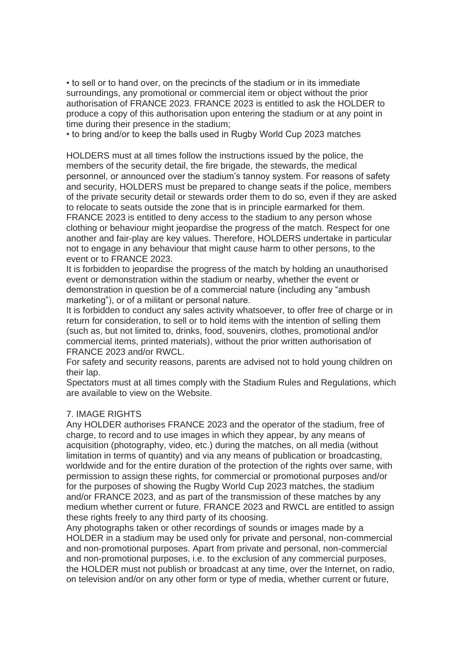• to sell or to hand over, on the precincts of the stadium or in its immediate surroundings, any promotional or commercial item or object without the prior authorisation of FRANCE 2023. FRANCE 2023 is entitled to ask the HOLDER to produce a copy of this authorisation upon entering the stadium or at any point in time during their presence in the stadium;

• to bring and/or to keep the balls used in Rugby World Cup 2023 matches

HOLDERS must at all times follow the instructions issued by the police, the members of the security detail, the fire brigade, the stewards, the medical personnel, or announced over the stadium's tannoy system. For reasons of safety and security, HOLDERS must be prepared to change seats if the police, members of the private security detail or stewards order them to do so, even if they are asked to relocate to seats outside the zone that is in principle earmarked for them. FRANCE 2023 is entitled to deny access to the stadium to any person whose clothing or behaviour might jeopardise the progress of the match. Respect for one another and fair-play are key values. Therefore, HOLDERS undertake in particular not to engage in any behaviour that might cause harm to other persons, to the event or to FRANCE 2023.

It is forbidden to jeopardise the progress of the match by holding an unauthorised event or demonstration within the stadium or nearby, whether the event or demonstration in question be of a commercial nature (including any "ambush marketing"), or of a militant or personal nature.

It is forbidden to conduct any sales activity whatsoever, to offer free of charge or in return for consideration, to sell or to hold items with the intention of selling them (such as, but not limited to, drinks, food, souvenirs, clothes, promotional and/or commercial items, printed materials), without the prior written authorisation of FRANCE 2023 and/or RWCL.

For safety and security reasons, parents are advised not to hold young children on their lap.

Spectators must at all times comply with the Stadium Rules and Regulations, which are available to view on the Website.

# 7. IMAGE RIGHTS

Any HOLDER authorises FRANCE 2023 and the operator of the stadium, free of charge, to record and to use images in which they appear, by any means of acquisition (photography, video, etc.) during the matches, on all media (without limitation in terms of quantity) and via any means of publication or broadcasting, worldwide and for the entire duration of the protection of the rights over same, with permission to assign these rights, for commercial or promotional purposes and/or for the purposes of showing the Rugby World Cup 2023 matches, the stadium and/or FRANCE 2023, and as part of the transmission of these matches by any medium whether current or future. FRANCE 2023 and RWCL are entitled to assign these rights freely to any third party of its choosing.

Any photographs taken or other recordings of sounds or images made by a HOLDER in a stadium may be used only for private and personal, non-commercial and non-promotional purposes. Apart from private and personal, non-commercial and non-promotional purposes, i.e. to the exclusion of any commercial purposes, the HOLDER must not publish or broadcast at any time, over the Internet, on radio, on television and/or on any other form or type of media, whether current or future,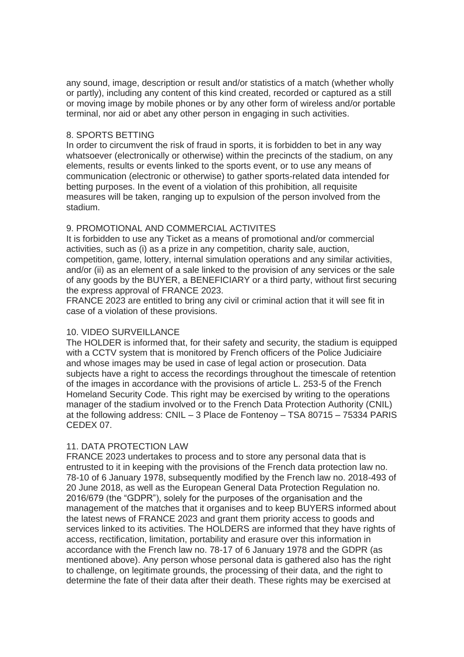any sound, image, description or result and/or statistics of a match (whether wholly or partly), including any content of this kind created, recorded or captured as a still or moving image by mobile phones or by any other form of wireless and/or portable terminal, nor aid or abet any other person in engaging in such activities.

#### 8. SPORTS BETTING

In order to circumvent the risk of fraud in sports, it is forbidden to bet in any way whatsoever (electronically or otherwise) within the precincts of the stadium, on any elements, results or events linked to the sports event, or to use any means of communication (electronic or otherwise) to gather sports-related data intended for betting purposes. In the event of a violation of this prohibition, all requisite measures will be taken, ranging up to expulsion of the person involved from the stadium.

# 9. PROMOTIONAL AND COMMERCIAL ACTIVITES

It is forbidden to use any Ticket as a means of promotional and/or commercial activities, such as (i) as a prize in any competition, charity sale, auction, competition, game, lottery, internal simulation operations and any similar activities, and/or (ii) as an element of a sale linked to the provision of any services or the sale of any goods by the BUYER, a BENEFICIARY or a third party, without first securing the express approval of FRANCE 2023.

FRANCE 2023 are entitled to bring any civil or criminal action that it will see fit in case of a violation of these provisions.

# 10. VIDEO SURVEILLANCE

The HOLDER is informed that, for their safety and security, the stadium is equipped with a CCTV system that is monitored by French officers of the Police Judiciaire and whose images may be used in case of legal action or prosecution. Data subjects have a right to access the recordings throughout the timescale of retention of the images in accordance with the provisions of article L. 253-5 of the French Homeland Security Code. This right may be exercised by writing to the operations manager of the stadium involved or to the French Data Protection Authority (CNIL) at the following address: CNIL – 3 Place de Fontenoy – TSA 80715 – 75334 PARIS CEDEX 07.

# 11. DATA PROTECTION LAW

FRANCE 2023 undertakes to process and to store any personal data that is entrusted to it in keeping with the provisions of the French data protection law no. 78-10 of 6 January 1978, subsequently modified by the French law no. 2018-493 of 20 June 2018, as well as the European General Data Protection Regulation no. 2016/679 (the "GDPR"), solely for the purposes of the organisation and the management of the matches that it organises and to keep BUYERS informed about the latest news of FRANCE 2023 and grant them priority access to goods and services linked to its activities. The HOLDERS are informed that they have rights of access, rectification, limitation, portability and erasure over this information in accordance with the French law no. 78-17 of 6 January 1978 and the GDPR (as mentioned above). Any person whose personal data is gathered also has the right to challenge, on legitimate grounds, the processing of their data, and the right to determine the fate of their data after their death. These rights may be exercised at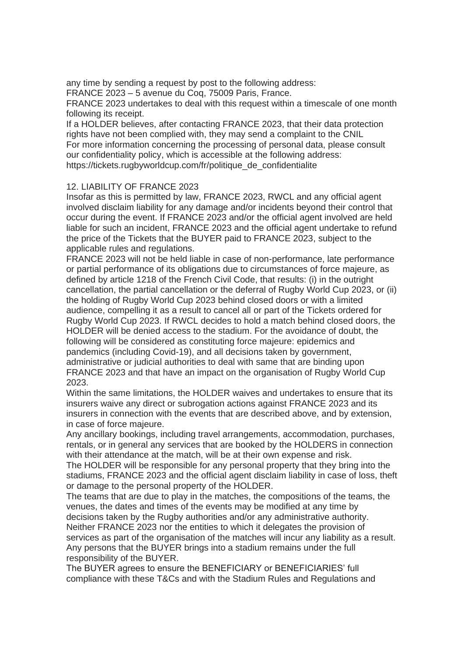any time by sending a request by post to the following address:

FRANCE 2023 – 5 avenue du Coq, 75009 Paris, France.

FRANCE 2023 undertakes to deal with this request within a timescale of one month following its receipt.

If a HOLDER believes, after contacting FRANCE 2023, that their data protection rights have not been complied with, they may send a complaint to the CNIL For more information concerning the processing of personal data, please consult our confidentiality policy, which is accessible at the following address: https://tickets.rugbyworldcup.com/fr/politique\_de\_confidentialite

# 12. LIABILITY OF FRANCE 2023

Insofar as this is permitted by law, FRANCE 2023, RWCL and any official agent involved disclaim liability for any damage and/or incidents beyond their control that occur during the event. If FRANCE 2023 and/or the official agent involved are held liable for such an incident, FRANCE 2023 and the official agent undertake to refund the price of the Tickets that the BUYER paid to FRANCE 2023, subject to the applicable rules and regulations.

FRANCE 2023 will not be held liable in case of non-performance, late performance or partial performance of its obligations due to circumstances of force majeure, as defined by article 1218 of the French Civil Code, that results: (i) in the outright cancellation, the partial cancellation or the deferral of Rugby World Cup 2023, or (ii) the holding of Rugby World Cup 2023 behind closed doors or with a limited audience, compelling it as a result to cancel all or part of the Tickets ordered for Rugby World Cup 2023. If RWCL decides to hold a match behind closed doors, the HOLDER will be denied access to the stadium. For the avoidance of doubt, the following will be considered as constituting force majeure: epidemics and pandemics (including Covid-19), and all decisions taken by government, administrative or judicial authorities to deal with same that are binding upon FRANCE 2023 and that have an impact on the organisation of Rugby World Cup 2023.

Within the same limitations, the HOLDER waives and undertakes to ensure that its insurers waive any direct or subrogation actions against FRANCE 2023 and its insurers in connection with the events that are described above, and by extension, in case of force majeure.

Any ancillary bookings, including travel arrangements, accommodation, purchases, rentals, or in general any services that are booked by the HOLDERS in connection with their attendance at the match, will be at their own expense and risk.

The HOLDER will be responsible for any personal property that they bring into the stadiums, FRANCE 2023 and the official agent disclaim liability in case of loss, theft or damage to the personal property of the HOLDER.

The teams that are due to play in the matches, the compositions of the teams, the venues, the dates and times of the events may be modified at any time by decisions taken by the Rugby authorities and/or any administrative authority. Neither FRANCE 2023 nor the entities to which it delegates the provision of services as part of the organisation of the matches will incur any liability as a result. Any persons that the BUYER brings into a stadium remains under the full responsibility of the BUYER.

The BUYER agrees to ensure the BENEFICIARY or BENEFICIARIES' full compliance with these T&Cs and with the Stadium Rules and Regulations and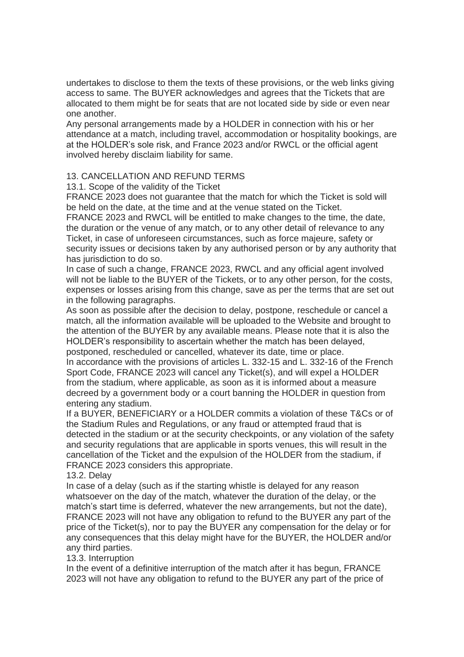undertakes to disclose to them the texts of these provisions, or the web links giving access to same. The BUYER acknowledges and agrees that the Tickets that are allocated to them might be for seats that are not located side by side or even near one another.

Any personal arrangements made by a HOLDER in connection with his or her attendance at a match, including travel, accommodation or hospitality bookings, are at the HOLDER's sole risk, and France 2023 and/or RWCL or the official agent involved hereby disclaim liability for same.

# 13. CANCELLATION AND REFUND TERMS

13.1. Scope of the validity of the Ticket

FRANCE 2023 does not guarantee that the match for which the Ticket is sold will be held on the date, at the time and at the venue stated on the Ticket.

FRANCE 2023 and RWCL will be entitled to make changes to the time, the date, the duration or the venue of any match, or to any other detail of relevance to any Ticket, in case of unforeseen circumstances, such as force majeure, safety or security issues or decisions taken by any authorised person or by any authority that has jurisdiction to do so.

In case of such a change, FRANCE 2023, RWCL and any official agent involved will not be liable to the BUYER of the Tickets, or to any other person, for the costs, expenses or losses arising from this change, save as per the terms that are set out in the following paragraphs.

As soon as possible after the decision to delay, postpone, reschedule or cancel a match, all the information available will be uploaded to the Website and brought to the attention of the BUYER by any available means. Please note that it is also the HOLDER's responsibility to ascertain whether the match has been delayed, postponed, rescheduled or cancelled, whatever its date, time or place.

In accordance with the provisions of articles L. 332-15 and L. 332-16 of the French Sport Code, FRANCE 2023 will cancel any Ticket(s), and will expel a HOLDER from the stadium, where applicable, as soon as it is informed about a measure decreed by a government body or a court banning the HOLDER in question from entering any stadium.

If a BUYER, BENEFICIARY or a HOLDER commits a violation of these T&Cs or of the Stadium Rules and Regulations, or any fraud or attempted fraud that is detected in the stadium or at the security checkpoints, or any violation of the safety and security regulations that are applicable in sports venues, this will result in the cancellation of the Ticket and the expulsion of the HOLDER from the stadium, if FRANCE 2023 considers this appropriate.

13.2. Delay

In case of a delay (such as if the starting whistle is delayed for any reason whatsoever on the day of the match, whatever the duration of the delay, or the match's start time is deferred, whatever the new arrangements, but not the date), FRANCE 2023 will not have any obligation to refund to the BUYER any part of the price of the Ticket(s), nor to pay the BUYER any compensation for the delay or for any consequences that this delay might have for the BUYER, the HOLDER and/or any third parties.

# 13.3. Interruption

In the event of a definitive interruption of the match after it has begun, FRANCE 2023 will not have any obligation to refund to the BUYER any part of the price of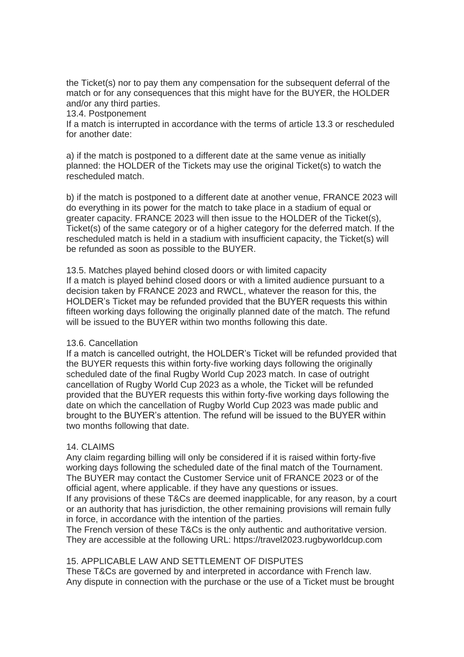the Ticket(s) nor to pay them any compensation for the subsequent deferral of the match or for any consequences that this might have for the BUYER, the HOLDER and/or any third parties.

13.4. Postponement

If a match is interrupted in accordance with the terms of article 13.3 or rescheduled for another date:

a) if the match is postponed to a different date at the same venue as initially planned: the HOLDER of the Tickets may use the original Ticket(s) to watch the rescheduled match.

b) if the match is postponed to a different date at another venue, FRANCE 2023 will do everything in its power for the match to take place in a stadium of equal or greater capacity. FRANCE 2023 will then issue to the HOLDER of the Ticket(s), Ticket(s) of the same category or of a higher category for the deferred match. If the rescheduled match is held in a stadium with insufficient capacity, the Ticket(s) will be refunded as soon as possible to the BUYER.

13.5. Matches played behind closed doors or with limited capacity If a match is played behind closed doors or with a limited audience pursuant to a decision taken by FRANCE 2023 and RWCL, whatever the reason for this, the HOLDER's Ticket may be refunded provided that the BUYER requests this within fifteen working days following the originally planned date of the match. The refund will be issued to the BUYER within two months following this date.

# 13.6. Cancellation

If a match is cancelled outright, the HOLDER's Ticket will be refunded provided that the BUYER requests this within forty-five working days following the originally scheduled date of the final Rugby World Cup 2023 match. In case of outright cancellation of Rugby World Cup 2023 as a whole, the Ticket will be refunded provided that the BUYER requests this within forty-five working days following the date on which the cancellation of Rugby World Cup 2023 was made public and brought to the BUYER's attention. The refund will be issued to the BUYER within two months following that date.

# 14. CLAIMS

Any claim regarding billing will only be considered if it is raised within forty-five working days following the scheduled date of the final match of the Tournament. The BUYER may contact the Customer Service unit of FRANCE 2023 or of the official agent, where applicable. if they have any questions or issues.

If any provisions of these T&Cs are deemed inapplicable, for any reason, by a court or an authority that has jurisdiction, the other remaining provisions will remain fully in force, in accordance with the intention of the parties.

The French version of these T&Cs is the only authentic and authoritative version. They are accessible at the following URL: https://travel2023.rugbyworldcup.com

# 15. APPLICABLE LAW AND SETTLEMENT OF DISPUTES

These T&Cs are governed by and interpreted in accordance with French law. Any dispute in connection with the purchase or the use of a Ticket must be brought